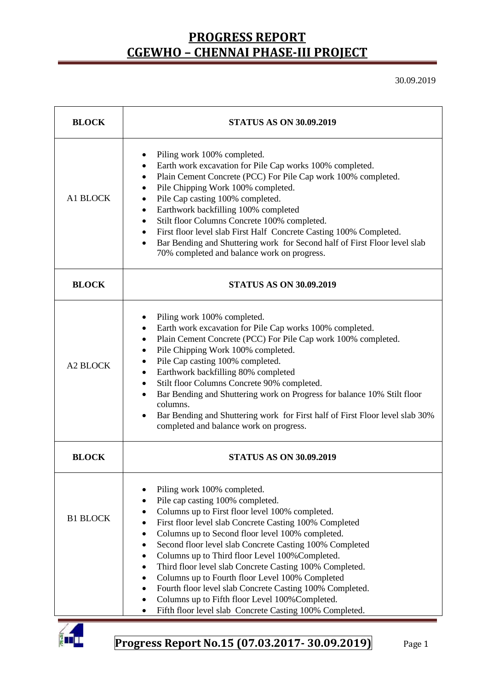30.09.2019

| <b>BLOCK</b>    | <b>STATUS AS ON 30.09.2019</b>                                                                                                                                                                                                                                                                                                                                                                                                                                                                                                                                                                                                                                             |  |  |  |  |
|-----------------|----------------------------------------------------------------------------------------------------------------------------------------------------------------------------------------------------------------------------------------------------------------------------------------------------------------------------------------------------------------------------------------------------------------------------------------------------------------------------------------------------------------------------------------------------------------------------------------------------------------------------------------------------------------------------|--|--|--|--|
| A1 BLOCK        | Piling work 100% completed.<br>Earth work excavation for Pile Cap works 100% completed.<br>٠<br>Plain Cement Concrete (PCC) For Pile Cap work 100% completed.<br>$\bullet$<br>Pile Chipping Work 100% completed.<br>٠<br>Pile Cap casting 100% completed.<br>٠<br>Earthwork backfilling 100% completed<br>$\bullet$<br>Stilt floor Columns Concrete 100% completed.<br>$\bullet$<br>First floor level slab First Half Concrete Casting 100% Completed.<br>$\bullet$<br>Bar Bending and Shuttering work for Second half of First Floor level slab<br>$\bullet$<br>70% completed and balance work on progress.                                                               |  |  |  |  |
| <b>BLOCK</b>    | <b>STATUS AS ON 30.09.2019</b>                                                                                                                                                                                                                                                                                                                                                                                                                                                                                                                                                                                                                                             |  |  |  |  |
| <b>A2 BLOCK</b> | Piling work 100% completed.<br>Earth work excavation for Pile Cap works 100% completed.<br>٠<br>Plain Cement Concrete (PCC) For Pile Cap work 100% completed.<br>$\bullet$<br>Pile Chipping Work 100% completed.<br>$\bullet$<br>Pile Cap casting 100% completed.<br>٠<br>Earthwork backfilling 80% completed<br>$\bullet$<br>Stilt floor Columns Concrete 90% completed.<br>$\bullet$<br>Bar Bending and Shuttering work on Progress for balance 10% Stilt floor<br>$\bullet$<br>columns.<br>Bar Bending and Shuttering work for First half of First Floor level slab 30%<br>completed and balance work on progress.                                                      |  |  |  |  |
| <b>BLOCK</b>    | <b>STATUS AS ON 30.09.2019</b>                                                                                                                                                                                                                                                                                                                                                                                                                                                                                                                                                                                                                                             |  |  |  |  |
| <b>B1 BLOCK</b> | Piling work 100% completed.<br>Pile cap casting 100% completed.<br>Columns up to First floor level 100% completed.<br>First floor level slab Concrete Casting 100% Completed<br>Columns up to Second floor level 100% completed.<br>Second floor level slab Concrete Casting 100% Completed<br>Columns up to Third floor Level 100% Completed.<br>٠<br>Third floor level slab Concrete Casting 100% Completed.<br>٠<br>Columns up to Fourth floor Level 100% Completed<br>Fourth floor level slab Concrete Casting 100% Completed.<br>$\bullet$<br>Columns up to Fifth floor Level 100% Completed.<br>Fifth floor level slab Concrete Casting 100% Completed.<br>$\bullet$ |  |  |  |  |

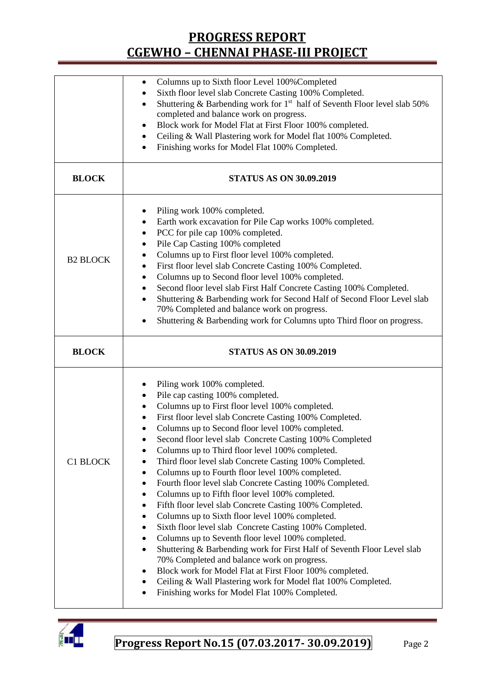| Columns up to Sixth floor Level 100% Completed<br>Sixth floor level slab Concrete Casting 100% Completed.<br>Shuttering & Barbending work for 1 <sup>st</sup> half of Seventh Floor level slab 50%<br>$\bullet$<br>completed and balance work on progress.<br>Block work for Model Flat at First Floor 100% completed.<br>٠<br>Ceiling & Wall Plastering work for Model flat 100% Completed.<br>$\bullet$<br>Finishing works for Model Flat 100% Completed.<br>$\bullet$                                                                                                                                                                                                                       |  |  |  |  |
|------------------------------------------------------------------------------------------------------------------------------------------------------------------------------------------------------------------------------------------------------------------------------------------------------------------------------------------------------------------------------------------------------------------------------------------------------------------------------------------------------------------------------------------------------------------------------------------------------------------------------------------------------------------------------------------------|--|--|--|--|
| <b>STATUS AS ON 30.09.2019</b>                                                                                                                                                                                                                                                                                                                                                                                                                                                                                                                                                                                                                                                                 |  |  |  |  |
| Piling work 100% completed.<br>٠<br>Earth work excavation for Pile Cap works 100% completed.<br>PCC for pile cap 100% completed.<br>Pile Cap Casting 100% completed<br>Columns up to First floor level 100% completed.<br>First floor level slab Concrete Casting 100% Completed.<br>٠<br>Columns up to Second floor level 100% completed.<br>٠<br>Second floor level slab First Half Concrete Casting 100% Completed.<br>٠<br>Shuttering & Barbending work for Second Half of Second Floor Level slab<br>٠<br>70% Completed and balance work on progress.<br>Shuttering & Barbending work for Columns upto Third floor on progress.<br>٠                                                      |  |  |  |  |
| <b>STATUS AS ON 30.09.2019</b>                                                                                                                                                                                                                                                                                                                                                                                                                                                                                                                                                                                                                                                                 |  |  |  |  |
| Piling work 100% completed.<br>٠<br>Pile cap casting 100% completed.<br>٠<br>Columns up to First floor level 100% completed.<br>First floor level slab Concrete Casting 100% Completed.<br>$\bullet$<br>Columns up to Second floor level 100% completed.<br>$\bullet$<br>Second floor level slab Concrete Casting 100% Completed<br>Columns up to Third floor level 100% completed.<br>Third floor level slab Concrete Casting 100% Completed.<br>Columns up to Fourth floor level 100% completed.<br>٠<br>Fourth floor level slab Concrete Casting 100% Completed.<br>Columns up to Fifth floor level 100% completed.<br>$\bullet$<br>Fifth floor level slab Concrete Casting 100% Completed. |  |  |  |  |
|                                                                                                                                                                                                                                                                                                                                                                                                                                                                                                                                                                                                                                                                                                |  |  |  |  |

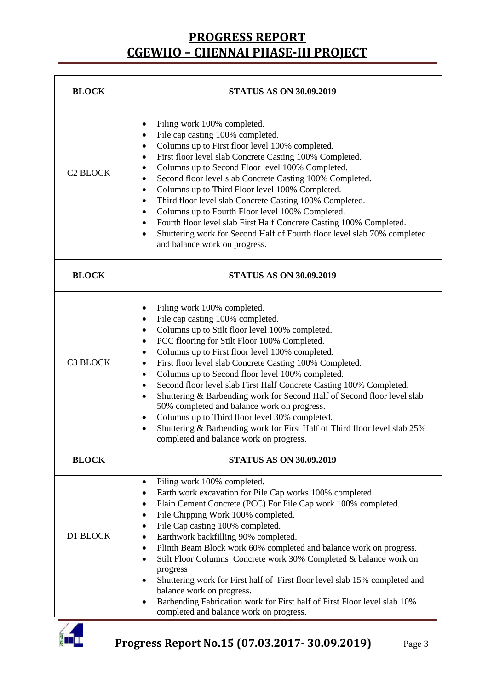| <b>BLOCK</b>               | <b>STATUS AS ON 30.09.2019</b>                                                                                                                                                                                                                                                                                                                                                                                                                                                                                                                                                                                                                                                                                                                                     |  |  |  |  |
|----------------------------|--------------------------------------------------------------------------------------------------------------------------------------------------------------------------------------------------------------------------------------------------------------------------------------------------------------------------------------------------------------------------------------------------------------------------------------------------------------------------------------------------------------------------------------------------------------------------------------------------------------------------------------------------------------------------------------------------------------------------------------------------------------------|--|--|--|--|
| <b>C<sub>2</sub> BLOCK</b> | Piling work 100% completed.<br>٠<br>Pile cap casting 100% completed.<br>٠<br>Columns up to First floor level 100% completed.<br>٠<br>First floor level slab Concrete Casting 100% Completed.<br>Columns up to Second Floor level 100% Completed.<br>Second floor level slab Concrete Casting 100% Completed.<br>Columns up to Third Floor level 100% Completed.<br>Third floor level slab Concrete Casting 100% Completed.<br>Columns up to Fourth Floor level 100% Completed.<br>Fourth floor level slab First Half Concrete Casting 100% Completed.<br>٠<br>Shuttering work for Second Half of Fourth floor level slab 70% completed<br>$\bullet$<br>and balance work on progress.                                                                               |  |  |  |  |
| <b>BLOCK</b>               | <b>STATUS AS ON 30.09.2019</b>                                                                                                                                                                                                                                                                                                                                                                                                                                                                                                                                                                                                                                                                                                                                     |  |  |  |  |
| <b>C3 BLOCK</b>            | Piling work 100% completed.<br>٠<br>Pile cap casting 100% completed.<br>Columns up to Stilt floor level 100% completed.<br>PCC flooring for Stilt Floor 100% Completed.<br>Columns up to First floor level 100% completed.<br>٠<br>First floor level slab Concrete Casting 100% Completed.<br>Columns up to Second floor level 100% completed.<br>٠<br>Second floor level slab First Half Concrete Casting 100% Completed.<br>٠<br>Shuttering & Barbending work for Second Half of Second floor level slab<br>$\bullet$<br>50% completed and balance work on progress.<br>Columns up to Third floor level 30% completed.<br>$\bullet$<br>Shuttering & Barbending work for First Half of Third floor level slab 25%<br>٠<br>completed and balance work on progress. |  |  |  |  |
| <b>BLOCK</b>               | <b>STATUS AS ON 30.09.2019</b>                                                                                                                                                                                                                                                                                                                                                                                                                                                                                                                                                                                                                                                                                                                                     |  |  |  |  |
| D1 BLOCK                   | Piling work 100% completed.<br>٠<br>Earth work excavation for Pile Cap works 100% completed.<br>٠<br>Plain Cement Concrete (PCC) For Pile Cap work 100% completed.<br>٠<br>Pile Chipping Work 100% completed.<br>$\bullet$<br>Pile Cap casting 100% completed.<br>٠<br>Earthwork backfilling 90% completed.<br>٠<br>Plinth Beam Block work 60% completed and balance work on progress.<br>٠<br>Stilt Floor Columns Concrete work 30% Completed & balance work on<br>$\bullet$<br>progress<br>Shuttering work for First half of First floor level slab 15% completed and<br>$\bullet$<br>balance work on progress.                                                                                                                                                  |  |  |  |  |
|                            | Barbending Fabrication work for First half of First Floor level slab 10%<br>completed and balance work on progress.                                                                                                                                                                                                                                                                                                                                                                                                                                                                                                                                                                                                                                                |  |  |  |  |

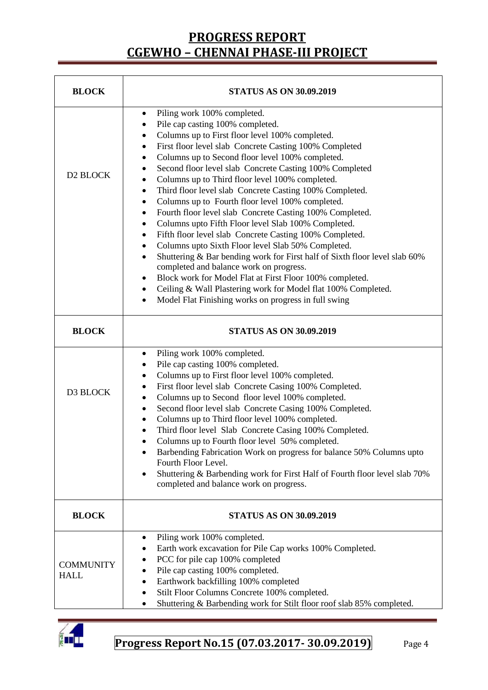| <b>BLOCK</b>                    | <b>STATUS AS ON 30.09.2019</b>                                                                                                                                                                                                                                                                                                                                                                                                                                                                                                                                                                                                                                                                                                                                                                                                                                                                                                                                                                                                                                   |  |  |  |  |
|---------------------------------|------------------------------------------------------------------------------------------------------------------------------------------------------------------------------------------------------------------------------------------------------------------------------------------------------------------------------------------------------------------------------------------------------------------------------------------------------------------------------------------------------------------------------------------------------------------------------------------------------------------------------------------------------------------------------------------------------------------------------------------------------------------------------------------------------------------------------------------------------------------------------------------------------------------------------------------------------------------------------------------------------------------------------------------------------------------|--|--|--|--|
| D2 BLOCK                        | Piling work 100% completed.<br>٠<br>Pile cap casting 100% completed.<br>$\bullet$<br>Columns up to First floor level 100% completed.<br>First floor level slab Concrete Casting 100% Completed<br>Columns up to Second floor level 100% completed.<br>Second floor level slab Concrete Casting 100% Completed<br>Columns up to Third floor level 100% completed.<br>Third floor level slab Concrete Casting 100% Completed.<br>Columns up to Fourth floor level 100% completed.<br>Fourth floor level slab Concrete Casting 100% Completed.<br>Columns upto Fifth Floor level Slab 100% Completed.<br>Fifth floor level slab Concrete Casting 100% Completed.<br>٠<br>Columns upto Sixth Floor level Slab 50% Completed.<br>Shuttering & Bar bending work for First half of Sixth floor level slab 60%<br>$\bullet$<br>completed and balance work on progress.<br>Block work for Model Flat at First Floor 100% completed.<br>Ceiling & Wall Plastering work for Model flat 100% Completed.<br>Model Flat Finishing works on progress in full swing<br>$\bullet$ |  |  |  |  |
| <b>BLOCK</b>                    | <b>STATUS AS ON 30.09.2019</b>                                                                                                                                                                                                                                                                                                                                                                                                                                                                                                                                                                                                                                                                                                                                                                                                                                                                                                                                                                                                                                   |  |  |  |  |
| D3 BLOCK                        | Piling work 100% completed.<br>$\bullet$<br>Pile cap casting 100% completed.<br>Columns up to First floor level 100% completed.<br>First floor level slab Concrete Casing 100% Completed.<br>Columns up to Second floor level 100% completed.<br>$\bullet$<br>Second floor level slab Concrete Casing 100% Completed.<br>Columns up to Third floor level 100% completed.<br>Third floor level Slab Concrete Casing 100% Completed.<br>Columns up to Fourth floor level 50% completed.<br>Barbending Fabrication Work on progress for balance 50% Columns upto<br>$\bullet$<br>Fourth Floor Level.<br>Shuttering & Barbending work for First Half of Fourth floor level slab 70%<br>completed and balance work on progress.                                                                                                                                                                                                                                                                                                                                       |  |  |  |  |
| <b>BLOCK</b>                    | <b>STATUS AS ON 30.09.2019</b>                                                                                                                                                                                                                                                                                                                                                                                                                                                                                                                                                                                                                                                                                                                                                                                                                                                                                                                                                                                                                                   |  |  |  |  |
| <b>COMMUNITY</b><br><b>HALL</b> | Piling work 100% completed.<br>٠<br>Earth work excavation for Pile Cap works 100% Completed.<br>PCC for pile cap 100% completed<br>Pile cap casting 100% completed.<br>Earthwork backfilling 100% completed<br>Stilt Floor Columns Concrete 100% completed.<br>Shuttering & Barbending work for Stilt floor roof slab 85% completed.<br>٠                                                                                                                                                                                                                                                                                                                                                                                                                                                                                                                                                                                                                                                                                                                        |  |  |  |  |

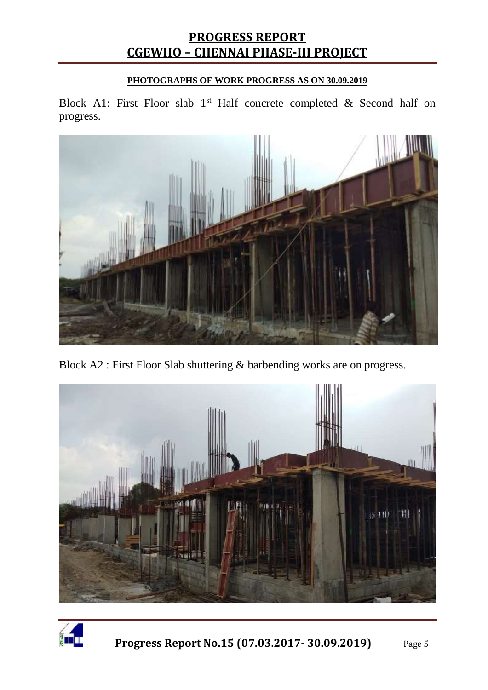#### **PHOTOGRAPHS OF WORK PROGRESS AS ON 30.09.2019**

Block A1: First Floor slab  $1<sup>st</sup>$  Half concrete completed & Second half on progress.



Block A2 : First Floor Slab shuttering & barbending works are on progress.



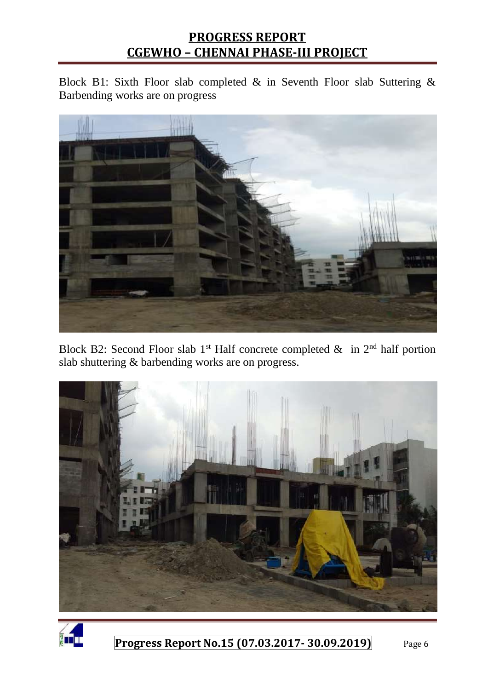Block B1: Sixth Floor slab completed & in Seventh Floor slab Suttering & Barbending works are on progress



Block B2: Second Floor slab 1<sup>st</sup> Half concrete completed  $\&$  in 2<sup>nd</sup> half portion slab shuttering & barbending works are on progress.



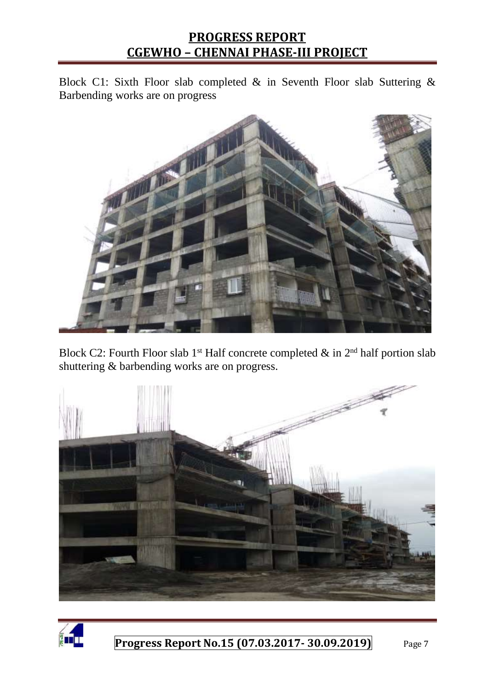Block C1: Sixth Floor slab completed & in Seventh Floor slab Suttering & Barbending works are on progress



Block C2: Fourth Floor slab 1<sup>st</sup> Half concrete completed  $\&$  in 2<sup>nd</sup> half portion slab shuttering & barbending works are on progress.



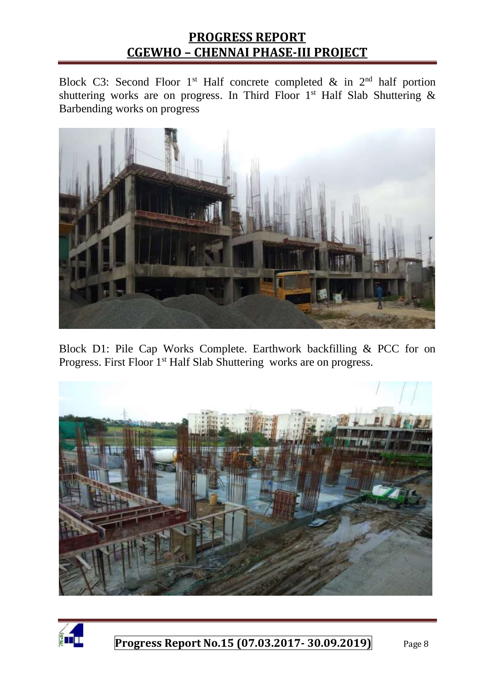Block C3: Second Floor 1<sup>st</sup> Half concrete completed  $\&$  in 2<sup>nd</sup> half portion shuttering works are on progress. In Third Floor 1st Half Slab Shuttering  $\&$ Barbending works on progress



Block D1: Pile Cap Works Complete. Earthwork backfilling & PCC for on Progress. First Floor 1<sup>st</sup> Half Slab Shuttering works are on progress.



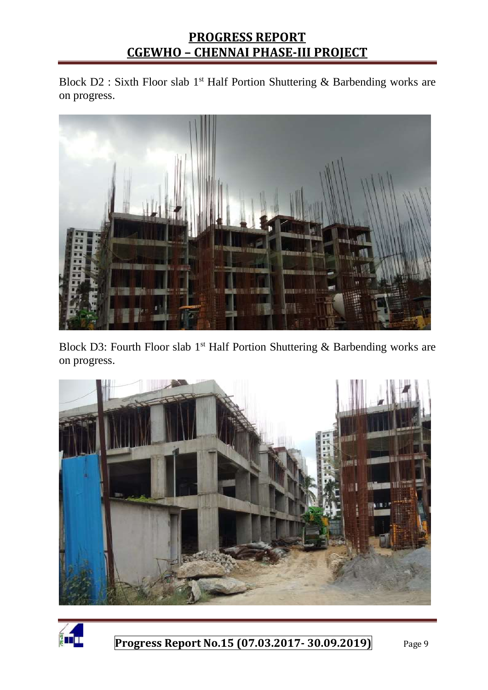Block D2 : Sixth Floor slab 1<sup>st</sup> Half Portion Shuttering & Barbending works are on progress.



Block D3: Fourth Floor slab 1<sup>st</sup> Half Portion Shuttering & Barbending works are on progress.



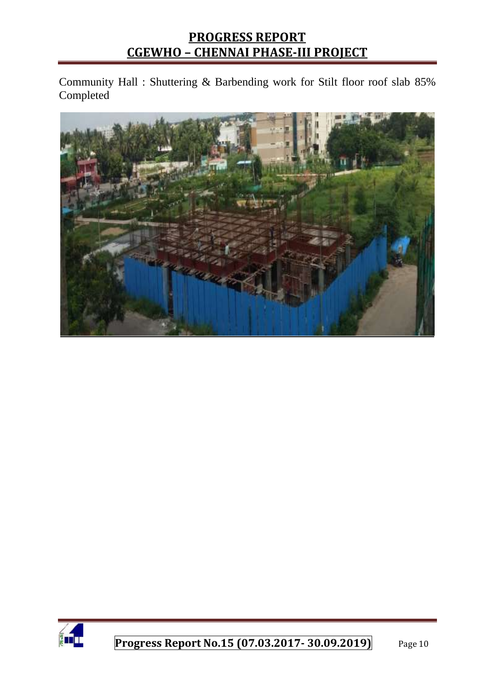Community Hall : Shuttering & Barbending work for Stilt floor roof slab 85% Completed



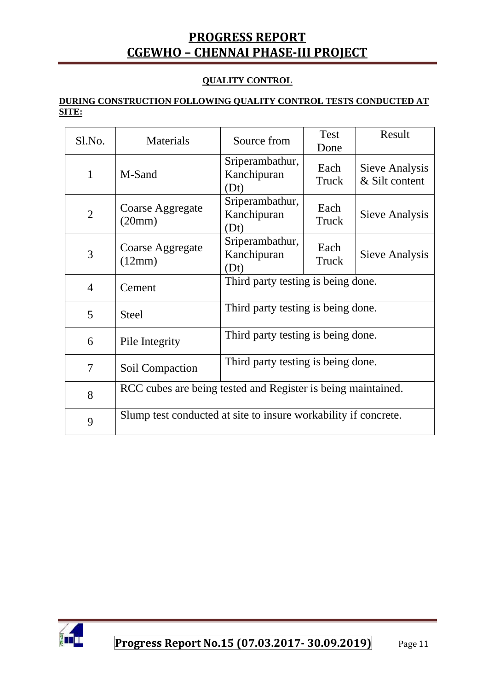#### **QUALITY CONTROL**

#### **DURING CONSTRUCTION FOLLOWING QUALITY CONTROL TESTS CONDUCTED AT SITE:**

| Sl.No.         | Materials                                                       | Source from                            | <b>Test</b><br>Done | Result                           |  |
|----------------|-----------------------------------------------------------------|----------------------------------------|---------------------|----------------------------------|--|
| 1              | M-Sand                                                          | Sriperambathur,<br>Kanchipuran<br>(Dt) | Each<br>Truck       | Sieve Analysis<br>& Silt content |  |
| $\overline{2}$ | Coarse Aggregate<br>(20mm)                                      | Sriperambathur,<br>Kanchipuran<br>(Dt) | Each<br>Truck       | Sieve Analysis                   |  |
| 3              | Coarse Aggregate<br>(12mm)                                      | Sriperambathur,<br>Kanchipuran<br>(Dt) | Each<br>Truck       | Sieve Analysis                   |  |
| $\overline{4}$ | Cement                                                          | Third party testing is being done.     |                     |                                  |  |
| 5              | <b>Steel</b>                                                    | Third party testing is being done.     |                     |                                  |  |
| 6              | Pile Integrity                                                  | Third party testing is being done.     |                     |                                  |  |
| $\tau$         | Soil Compaction                                                 | Third party testing is being done.     |                     |                                  |  |
| 8              | RCC cubes are being tested and Register is being maintained.    |                                        |                     |                                  |  |
| 9              | Slump test conducted at site to insure workability if concrete. |                                        |                     |                                  |  |

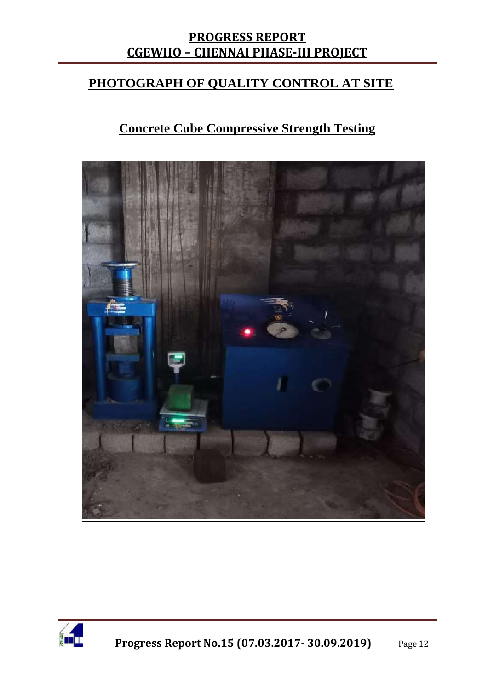## **PHOTOGRAPH OF QUALITY CONTROL AT SITE**

## **Concrete Cube Compressive Strength Testing**



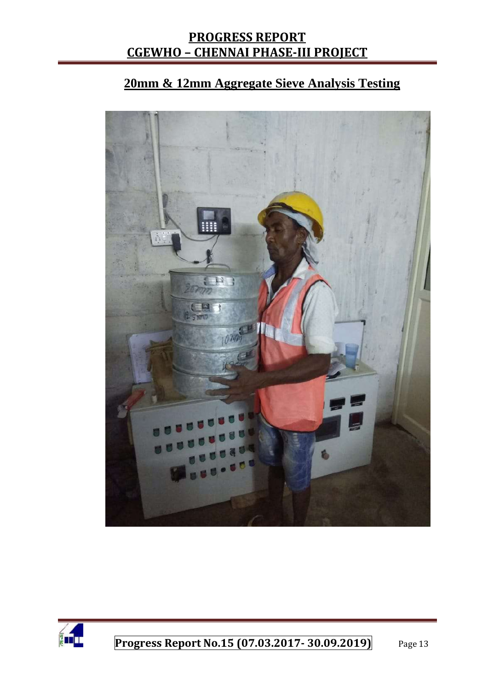## **20mm & 12mm Aggregate Sieve Analysis Testing**